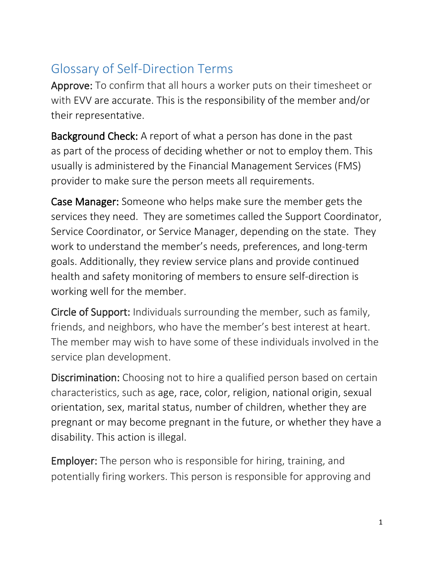## Glossary of Self-Direction Terms

Approve: To confirm that all hours a worker puts on their timesheet or with EVV are accurate. This is the responsibility of the member and/or their representative.

Background Check: A report of what a person has done in the past as part of the process of deciding whether or not to employ them. This usually is administered by the Financial Management Services (FMS) provider to make sure the person meets all requirements.

Case Manager: Someone who helps make sure the member gets the services they need. They are sometimes called the Support Coordinator, Service Coordinator, or Service Manager, depending on the state. They work to understand the member's needs, preferences, and long-term goals. Additionally, they review service plans and provide continued health and safety monitoring of members to ensure self-direction is working well for the member.

Circle of Support: Individuals surrounding the member, such as family, friends, and neighbors, who have the member's best interest at heart. The member may wish to have some of these individuals involved in the service plan development.

Discrimination: Choosing not to hire a qualified person based on certain characteristics, such as age, race, color, religion, national origin, sexual orientation, sex, marital status, number of children, whether they are pregnant or may become pregnant in the future, or whether they have a disability. This action is illegal.

Employer: The person who is responsible for hiring, training, and potentially firing workers. This person is responsible for approving and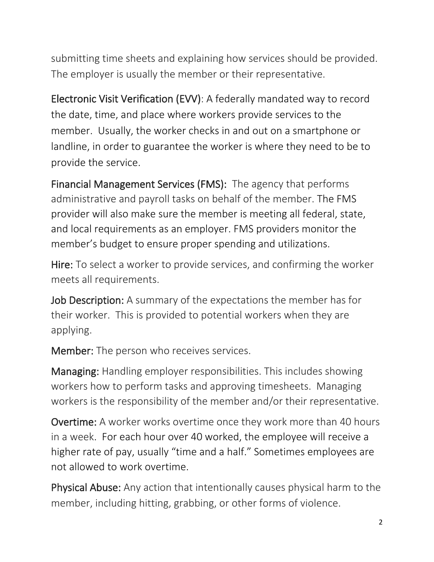submitting time sheets and explaining how services should be provided. The employer is usually the member or their representative.

Electronic Visit Verification (EVV): A federally mandated way to record the date, time, and place where workers provide services to the member. Usually, the worker checks in and out on a smartphone or landline, in order to guarantee the worker is where they need to be to provide the service.

Financial Management Services (FMS): The agency that performs administrative and payroll tasks on behalf of the member. The FMS provider will also make sure the member is meeting all federal, state, and local requirements as an employer. FMS providers monitor the member's budget to ensure proper spending and utilizations.

Hire: To select a worker to provide services, and confirming the worker meets all requirements.

Job Description: A summary of the expectations the member has for their worker. This is provided to potential workers when they are applying.

Member: The person who receives services.

Managing: Handling employer responsibilities. This includes showing workers how to perform tasks and approving timesheets. Managing workers is the responsibility of the member and/or their representative.

Overtime: A worker works overtime once they work more than 40 hours in a week. For each hour over 40 worked, the employee will receive a higher rate of pay, usually "time and a half." Sometimes employees are not allowed to work overtime.

Physical Abuse: Any action that intentionally causes physical harm to the member, including hitting, grabbing, or other forms of violence.